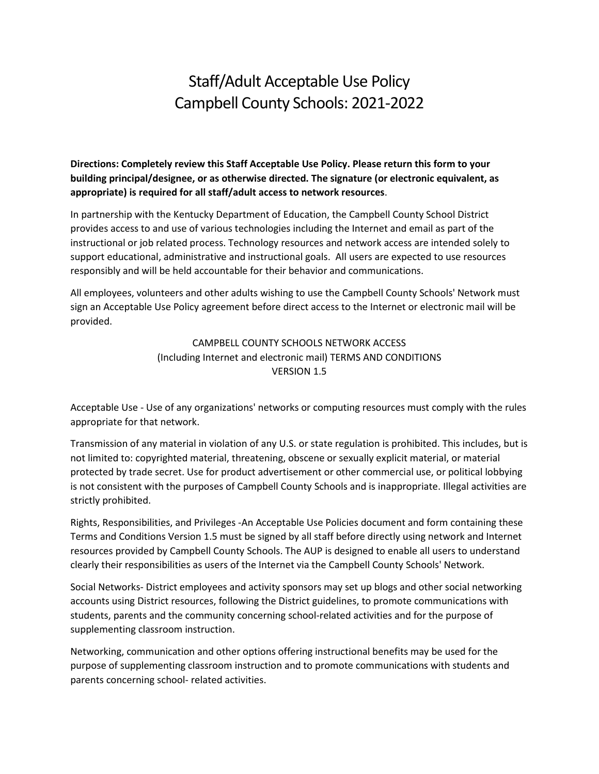# Staff/Adult Acceptable Use Policy Campbell County Schools: 2021-2022

**Directions: Completely review this Staff Acceptable Use Policy. Please return this form to your building principal/designee, or as otherwise directed. The signature (or electronic equivalent, as appropriate) is required for all staff/adult access to network resources**.

In partnership with the Kentucky Department of Education, the Campbell County School District provides access to and use of various technologies including the Internet and email as part of the instructional or job related process. Technology resources and network access are intended solely to support educational, administrative and instructional goals. All users are expected to use resources responsibly and will be held accountable for their behavior and communications.

All employees, volunteers and other adults wishing to use the Campbell County Schools' Network must sign an Acceptable Use Policy agreement before direct access to the Internet or electronic mail will be provided.

> CAMPBELL COUNTY SCHOOLS NETWORK ACCESS (Including Internet and electronic mail) TERMS AND CONDITIONS VERSION 1.5

Acceptable Use - Use of any organizations' networks or computing resources must comply with the rules appropriate for that network.

Transmission of any material in violation of any U.S. or state regulation is prohibited. This includes, but is not limited to: copyrighted material, threatening, obscene or sexually explicit material, or material protected by trade secret. Use for product advertisement or other commercial use, or political lobbying is not consistent with the purposes of Campbell County Schools and is inappropriate. Illegal activities are strictly prohibited.

Rights, Responsibilities, and Privileges -An Acceptable Use Policies document and form containing these Terms and Conditions Version 1.5 must be signed by all staff before directly using network and Internet resources provided by Campbell County Schools. The AUP is designed to enable all users to understand clearly their responsibilities as users of the Internet via the Campbell County Schools' Network.

Social Networks- District employees and activity sponsors may set up blogs and other social networking accounts using District resources, following the District guidelines, to promote communications with students, parents and the community concerning school-related activities and for the purpose of supplementing classroom instruction.

Networking, communication and other options offering instructional benefits may be used for the purpose of supplementing classroom instruction and to promote communications with students and parents concerning school- related activities.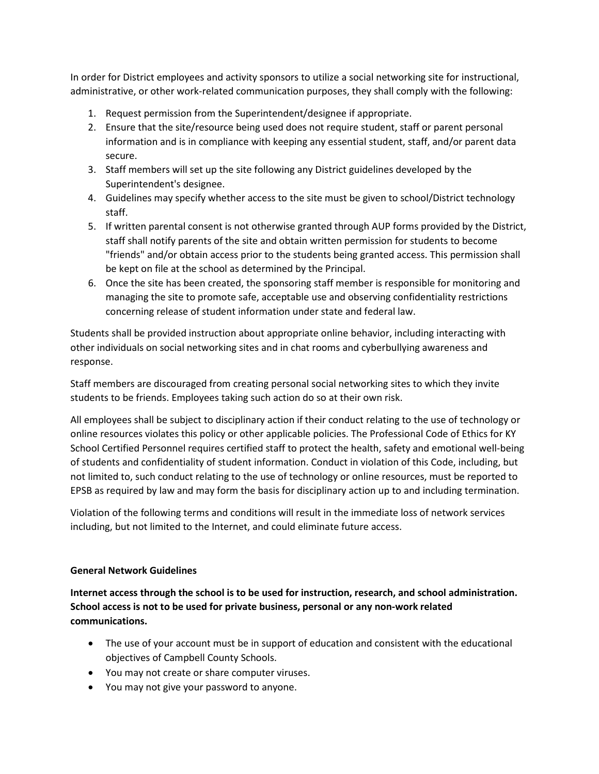In order for District employees and activity sponsors to utilize a social networking site for instructional, administrative, or other work-related communication purposes, they shall comply with the following:

- 1. Request permission from the Superintendent/designee if appropriate.
- 2. Ensure that the site/resource being used does not require student, staff or parent personal information and is in compliance with keeping any essential student, staff, and/or parent data secure.
- 3. Staff members will set up the site following any District guidelines developed by the Superintendent's designee.
- 4. Guidelines may specify whether access to the site must be given to school/District technology staff.
- 5. If written parental consent is not otherwise granted through AUP forms provided by the District, staff shall notify parents of the site and obtain written permission for students to become "friends" and/or obtain access prior to the students being granted access. This permission shall be kept on file at the school as determined by the Principal.
- 6. Once the site has been created, the sponsoring staff member is responsible for monitoring and managing the site to promote safe, acceptable use and observing confidentiality restrictions concerning release of student information under state and federal law.

Students shall be provided instruction about appropriate online behavior, including interacting with other individuals on social networking sites and in chat rooms and cyberbullying awareness and response.

Staff members are discouraged from creating personal social networking sites to which they invite students to be friends. Employees taking such action do so at their own risk.

All employees shall be subject to disciplinary action if their conduct relating to the use of technology or online resources violates this policy or other applicable policies. The Professional Code of Ethics for KY School Certified Personnel requires certified staff to protect the health, safety and emotional well-being of students and confidentiality of student information. Conduct in violation of this Code, including, but not limited to, such conduct relating to the use of technology or online resources, must be reported to EPSB as required by law and may form the basis for disciplinary action up to and including termination.

Violation of the following terms and conditions will result in the immediate loss of network services including, but not limited to the Internet, and could eliminate future access.

# **General Network Guidelines**

**Internet access through the school is to be used for instruction, research, and school administration. School access is not to be used for private business, personal or any non-work related communications.**

- The use of your account must be in support of education and consistent with the educational objectives of Campbell County Schools.
- You may not create or share computer viruses.
- You may not give your password to anyone.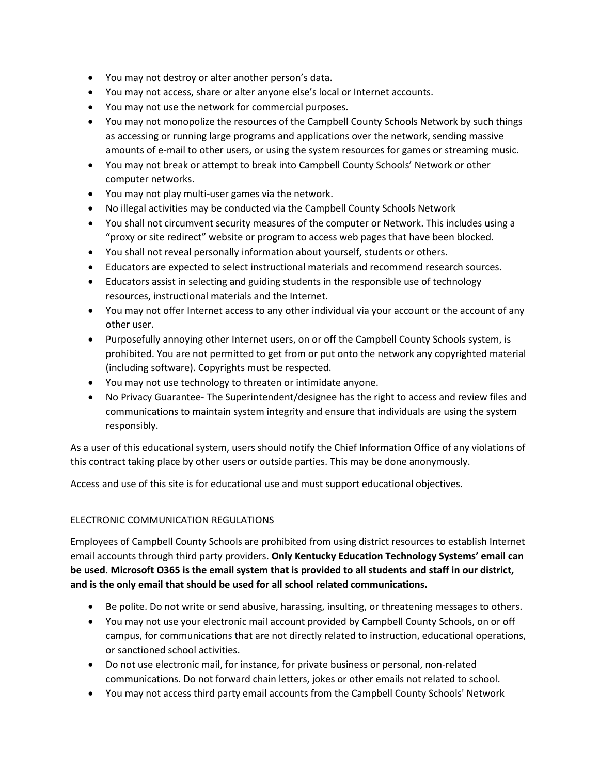- You may not destroy or alter another person's data.
- You may not access, share or alter anyone else's local or Internet accounts.
- You may not use the network for commercial purposes.
- You may not monopolize the resources of the Campbell County Schools Network by such things as accessing or running large programs and applications over the network, sending massive amounts of e-mail to other users, or using the system resources for games or streaming music.
- You may not break or attempt to break into Campbell County Schools' Network or other computer networks.
- You may not play multi-user games via the network.
- No illegal activities may be conducted via the Campbell County Schools Network
- You shall not circumvent security measures of the computer or Network. This includes using a "proxy or site redirect" website or program to access web pages that have been blocked.
- You shall not reveal personally information about yourself, students or others.
- Educators are expected to select instructional materials and recommend research sources.
- Educators assist in selecting and guiding students in the responsible use of technology resources, instructional materials and the Internet.
- You may not offer Internet access to any other individual via your account or the account of any other user.
- Purposefully annoying other Internet users, on or off the Campbell County Schools system, is prohibited. You are not permitted to get from or put onto the network any copyrighted material (including software). Copyrights must be respected.
- You may not use technology to threaten or intimidate anyone.
- No Privacy Guarantee- The Superintendent/designee has the right to access and review files and communications to maintain system integrity and ensure that individuals are using the system responsibly.

As a user of this educational system, users should notify the Chief Information Office of any violations of this contract taking place by other users or outside parties. This may be done anonymously.

Access and use of this site is for educational use and must support educational objectives.

# ELECTRONIC COMMUNICATION REGULATIONS

Employees of Campbell County Schools are prohibited from using district resources to establish Internet email accounts through third party providers. **Only Kentucky Education Technology Systems' email can be used. Microsoft O365 is the email system that is provided to all students and staff in our district, and is the only email that should be used for all school related communications.** 

- Be polite. Do not write or send abusive, harassing, insulting, or threatening messages to others.
- You may not use your electronic mail account provided by Campbell County Schools, on or off campus, for communications that are not directly related to instruction, educational operations, or sanctioned school activities.
- Do not use electronic mail, for instance, for private business or personal, non-related communications. Do not forward chain letters, jokes or other emails not related to school.
- You may not access third party email accounts from the Campbell County Schools' Network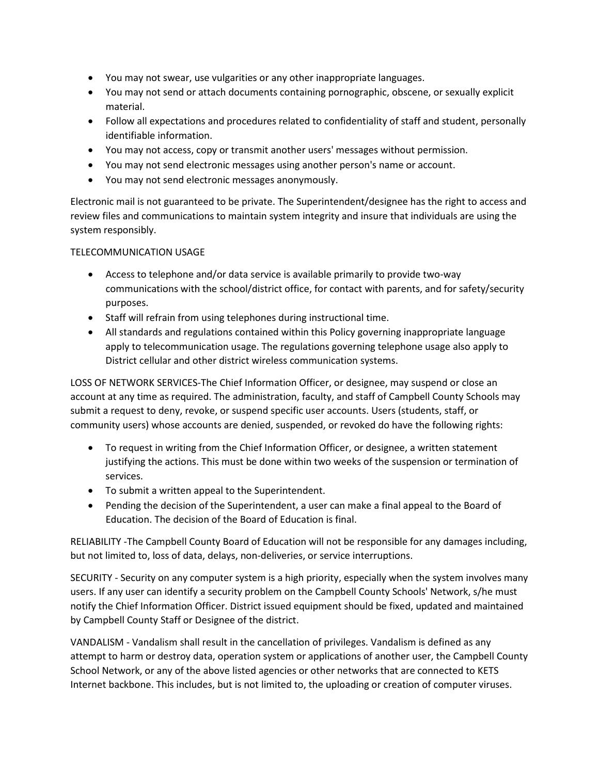- You may not swear, use vulgarities or any other inappropriate languages.
- You may not send or attach documents containing pornographic, obscene, or sexually explicit material.
- Follow all expectations and procedures related to confidentiality of staff and student, personally identifiable information.
- You may not access, copy or transmit another users' messages without permission.
- You may not send electronic messages using another person's name or account.
- You may not send electronic messages anonymously.

Electronic mail is not guaranteed to be private. The Superintendent/designee has the right to access and review files and communications to maintain system integrity and insure that individuals are using the system responsibly.

## TELECOMMUNICATION USAGE

- Access to telephone and/or data service is available primarily to provide two-way communications with the school/district office, for contact with parents, and for safety/security purposes.
- Staff will refrain from using telephones during instructional time.
- All standards and regulations contained within this Policy governing inappropriate language apply to telecommunication usage. The regulations governing telephone usage also apply to District cellular and other district wireless communication systems.

LOSS OF NETWORK SERVICES-The Chief Information Officer, or designee, may suspend or close an account at any time as required. The administration, faculty, and staff of Campbell County Schools may submit a request to deny, revoke, or suspend specific user accounts. Users (students, staff, or community users) whose accounts are denied, suspended, or revoked do have the following rights:

- To request in writing from the Chief Information Officer, or designee, a written statement justifying the actions. This must be done within two weeks of the suspension or termination of services.
- To submit a written appeal to the Superintendent.
- Pending the decision of the Superintendent, a user can make a final appeal to the Board of Education. The decision of the Board of Education is final.

RELIABILITY -The Campbell County Board of Education will not be responsible for any damages including, but not limited to, loss of data, delays, non-deliveries, or service interruptions.

SECURITY - Security on any computer system is a high priority, especially when the system involves many users. If any user can identify a security problem on the Campbell County Schools' Network, s/he must notify the Chief Information Officer. District issued equipment should be fixed, updated and maintained by Campbell County Staff or Designee of the district.

VANDALISM - Vandalism shall result in the cancellation of privileges. Vandalism is defined as any attempt to harm or destroy data, operation system or applications of another user, the Campbell County School Network, or any of the above listed agencies or other networks that are connected to KETS Internet backbone. This includes, but is not limited to, the uploading or creation of computer viruses.